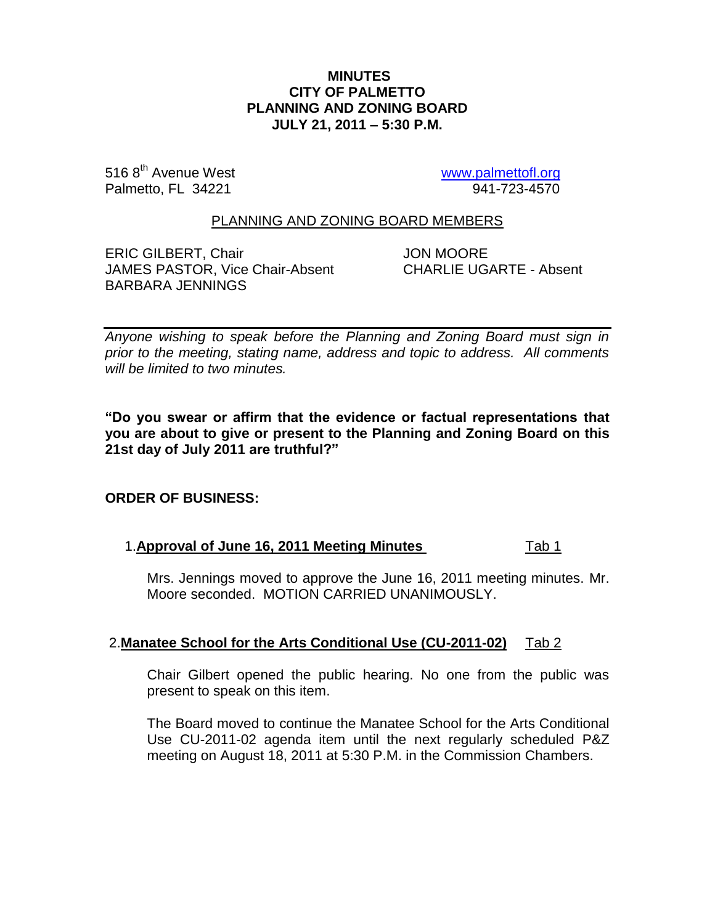## **MINUTES CITY OF PALMETTO PLANNING AND ZONING BOARD JULY 21, 2011 – 5:30 P.M.**

516 8<sup>th</sup> Avenue West www.<u>palmettofl.org</u><br>Palmetto, FL 34221 www.<u>palmettofl.org</u> Palmetto, FL 34221

## PLANNING AND ZONING BOARD MEMBERS

ERIC GILBERT, Chair **JON MOORE** JAMES PASTOR, Vice Chair-Absent CHARLIE UGARTE - Absent BARBARA JENNINGS

*Anyone wishing to speak before the Planning and Zoning Board must sign in prior to the meeting, stating name, address and topic to address. All comments will be limited to two minutes.*

**"Do you swear or affirm that the evidence or factual representations that you are about to give or present to the Planning and Zoning Board on this 21st day of July 2011 are truthful?"**

# **ORDER OF BUSINESS:**

### 1.**Approval of June 16, 2011 Meeting Minutes** Tab 1

Mrs. Jennings moved to approve the June 16, 2011 meeting minutes. Mr. Moore seconded. MOTION CARRIED UNANIMOUSLY.

### 2.**Manatee School for the Arts Conditional Use (CU-2011-02)** Tab 2

Chair Gilbert opened the public hearing. No one from the public was present to speak on this item.

The Board moved to continue the Manatee School for the Arts Conditional Use CU-2011-02 agenda item until the next regularly scheduled P&Z meeting on August 18, 2011 at 5:30 P.M. in the Commission Chambers.